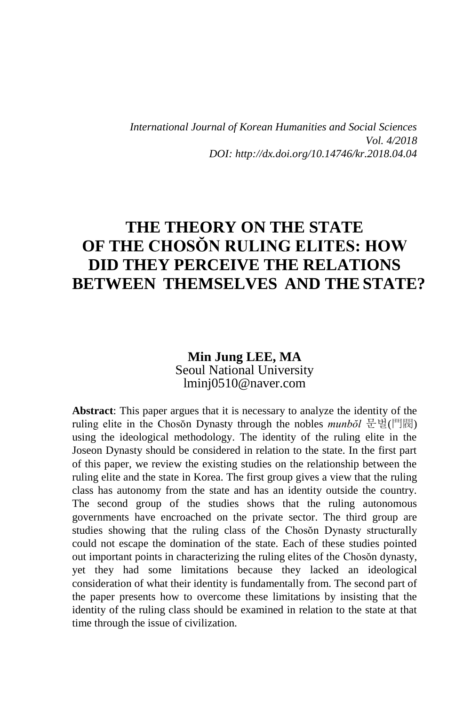*International Journal of Korean Humanities and Social Sciences Vol. 4/2018 DOI: http://dx.doi.org/10.14746/kr.2018.04.04*

# **THE THEORY ON THE STATE OF THE CHOSŎN RULING ELITES: HOW DID THEY PERCEIVE THE RELATIONS BETWEEN THEMSELVES AND THESTATE?**

#### **Min Jung LEE, MA** Seoul National University lminj0510@naver.com

**Abstract**: This paper argues that it is necessary to analyze the identity of the ruling elite in the Chosŏn Dynasty through the nobles *munbŏl* 문벌(門閥) using the ideological methodology. The identity of the ruling elite in the Joseon Dynasty should be considered in relation to the state. In the first part of this paper, we review the existing studies on the relationship between the ruling elite and the state in Korea. The first group gives a view that the ruling class has autonomy from the state and has an identity outside the country. The second group of the studies shows that the ruling autonomous governments have encroached on the private sector. The third group are studies showing that the ruling class of the Chosŏn Dynasty structurally could not escape the domination of the state. Each of these studies pointed out important points in characterizing the ruling elites of the Chosŏn dynasty, yet they had some limitations because they lacked an ideological consideration of what their identity is fundamentally from. The second part of the paper presents how to overcome these limitations by insisting that the identity of the ruling class should be examined in relation to the state at that time through the issue of civilization.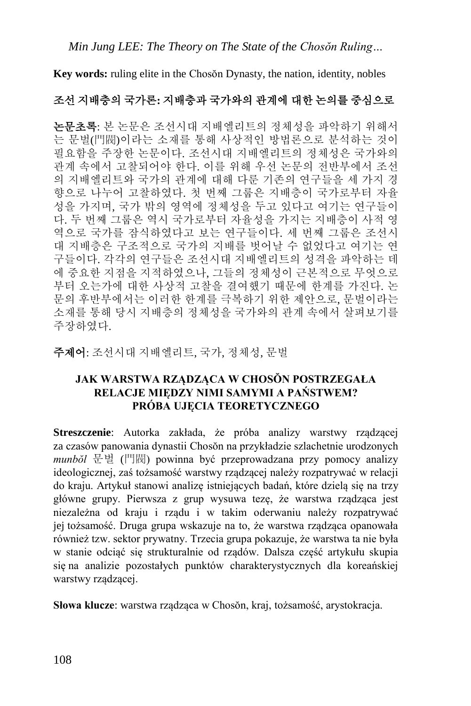**Key words:** ruling elite in the Chosŏn Dynasty, the nation, identity, nobles

### 조선 지배층의 국가론**:** 지배층과 국가와의 관계에 대한 논의를 중심으로

논문초록: 본 논문은 조선시대 지배엘리트의 정체성을 파악하기 위해서 는 문벌(門閥)이라는 소재를 통해 사상적인 방법론으로 분석하는 것이 필요함을 주장한 논문이다. 조선시대 지배엘리트의 정체성은 국가와의 관계 속에서 고찰되어야 한다. 이를 위해 우선 논문의 전반부에서 조선 의 지배엘리트와 국가의 관계에 대해 다룬 기존의 연구들을 세 가지 경 향으로 나누어 고찰하였다. 첫 번째 그룹은 지배층이 국가로부터 자율 성을 가지며, 국가 밖의 영역에 정체성을 두고 있다고 여기는 연구들이 다. 두 번째 그룹은 역시 국가로부터 자율성을 가지는 지배층이 사적 영 역으로 국가를 잠식하였다고 보는 연구들이다. 세 번째 그룹은 조선시 대 지배층은 구조적으로 국가의 지배를 벗어날 수 없었다고 여기는 연 구들이다. 각각의 연구들은 조선시대 지배엘리트의 성격을 파악하는 데 에 중요한 지점을 지적하였으나, 그들의 정체성이 근본적으로 무엇으로 부터 오는가에 대한 사상적 고찰을 결여했기 때문에 한계를 가진다. 논 문의 후반부에서는 이러한 한계를 극복하기 위한 제안으로, 문벌이라는 소재를 통해 당시 지배층의 정체성을 국가와의 관계 속에서 살펴보기를 주장하였다.

주제어: 조선시대 지배엘리트, 국가, 정체성, 문벌

#### **JAK WARSTWA RZĄDZĄCA W CHOSŎN POSTRZEGAŁA RELACJE MIĘDZY NIMI SAMYMI A PAŃSTWEM? PRÓBA UJĘCIA TEORETYCZNEGO**

**Streszczenie**: Autorka zakłada, że próba analizy warstwy rządzącej za czasów panowania dynastii Chosŏn na przykładzie szlachetnie urodzonych *munbŏl* 문벌 (門閥) powinna być przeprowadzana przy pomocy analizy ideologicznej, zaś tożsamość warstwy rządzącej należy rozpatrywać w relacji do kraju. Artykuł stanowi analizę istniejących badań, które dzielą się na trzy główne grupy. Pierwsza z grup wysuwa tezę, że warstwa rządząca jest niezależna od kraju i rządu i w takim oderwaniu należy rozpatrywać jej tożsamość. Druga grupa wskazuje na to, że warstwa rządząca opanowała również tzw. sektor prywatny. Trzecia grupa pokazuje, że warstwa ta nie była w stanie odciąć się strukturalnie od rządów. Dalsza część artykułu skupia się na analizie pozostałych punktów charakterystycznych dla koreańskiej warstwy rządzącej.

**Słowa klucze**: warstwa rządząca w Chosŏn, kraj, tożsamość, arystokracja.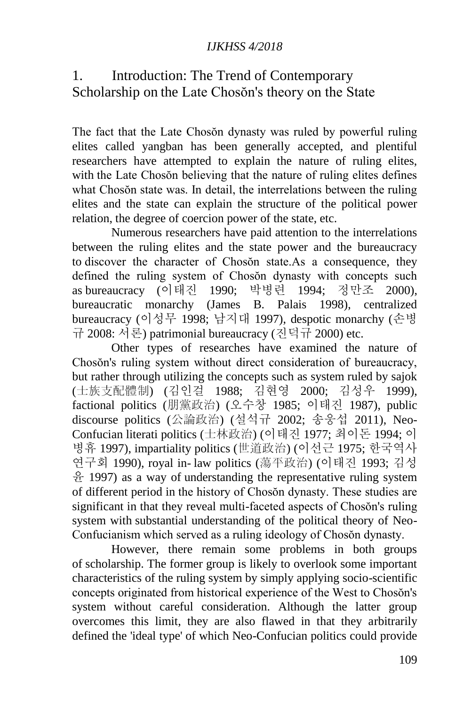### 1. Introduction: The Trend of Contemporary Scholarship on the Late Chosŏn's theory on the State

The fact that the Late Chosŏn dynasty was ruled by powerful ruling elites called yangban has been generally accepted, and plentiful researchers have attempted to explain the nature of ruling elites, with the Late Chosŏn believing that the nature of ruling elites defines what Chosŏn state was. In detail, the interrelations between the ruling elites and the state can explain the structure of the political power relation, the degree of coercion power of the state, etc.

Numerous researchers have paid attention to the interrelations between the ruling elites and the state power and the bureaucracy to discover the character of Chosŏn state.As a consequence, they defined the ruling system of Chosŏn dynasty with concepts such as bureaucracy (이태진 1990; 박병련 1994; 정만조 2000), bureaucratic monarchy (James B. Palais 1998), centralized bureaucracy (이성무 1998; 남지대 1997), despotic monarchy (손병 규 2008: 서론) patrimonial bureaucracy (진덕규 2000) etc.

Other types of researches have examined the nature of Chosŏn's ruling system without direct consideration of bureaucracy, but rather through utilizing the concepts such as system ruled by sajok (士族支配體制) (김인걸 1988; 김현영 2000; 김성우 1999), factional politics (朋黨政治) (오수창 1985; 이태진 1987), public discourse politics (公論政治) (설석규 2002; 송웅섭 2011), Neo-Confucian literati politics (士林政治) (이태진 1977; 최이돈 1994; 이 병휴 1997), impartiality politics (世道政治) (이선근 1975; 한국역사 연구회 1990), royal in- law politics (蕩平政治) (이태진 1993; 김성 윤 1997) as a way of understanding the representative ruling system of different period in the history of Chosŏn dynasty. These studies are significant in that they reveal multi-faceted aspects of Chosŏn's ruling system with substantial understanding of the political theory of Neo-Confucianism which served as a ruling ideology of Chosŏn dynasty.

However, there remain some problems in both groups of scholarship. The former group is likely to overlook some important characteristics of the ruling system by simply applying socio-scientific concepts originated from historical experience of the West to Chosŏn's system without careful consideration. Although the latter group overcomes this limit, they are also flawed in that they arbitrarily defined the 'ideal type' of which Neo-Confucian politics could provide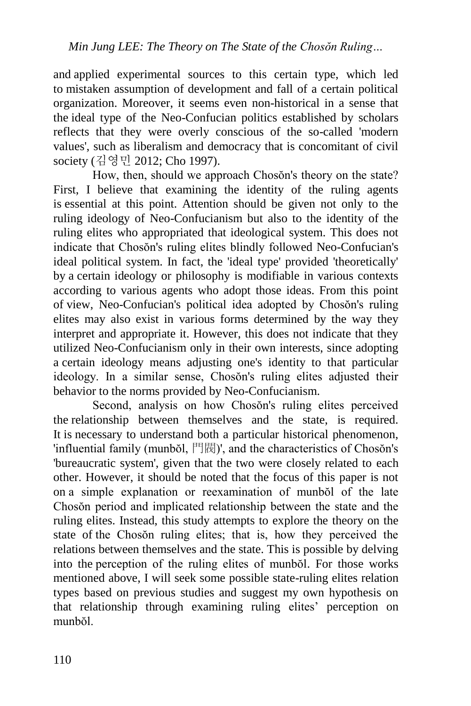and applied experimental sources to this certain type, which led to mistaken assumption of development and fall of a certain political organization. Moreover, it seems even non-historical in a sense that the ideal type of the Neo-Confucian politics established by scholars reflects that they were overly conscious of the so-called 'modern values', such as liberalism and democracy that is concomitant of civil society (김영민 2012; Cho 1997).

How, then, should we approach Chosŏn's theory on the state? First, I believe that examining the identity of the ruling agents is essential at this point. Attention should be given not only to the ruling ideology of Neo-Confucianism but also to the identity of the ruling elites who appropriated that ideological system. This does not indicate that Chosŏn's ruling elites blindly followed Neo-Confucian's ideal political system. In fact, the 'ideal type' provided 'theoretically' by a certain ideology or philosophy is modifiable in various contexts according to various agents who adopt those ideas. From this point of view, Neo-Confucian's political idea adopted by Chosŏn's ruling elites may also exist in various forms determined by the way they interpret and appropriate it. However, this does not indicate that they utilized Neo-Confucianism only in their own interests, since adopting a certain ideology means adjusting one's identity to that particular ideology. In a similar sense, Chosŏn's ruling elites adjusted their behavior to the norms provided by Neo-Confucianism.

Second, analysis on how Chosŏn's ruling elites perceived the relationship between themselves and the state, is required. It is necessary to understand both a particular historical phenomenon, 'influential family (munbŏl, 門閥)', and the characteristics of Chosŏn's 'bureaucratic system', given that the two were closely related to each other. However, it should be noted that the focus of this paper is not on a simple explanation or reexamination of munbŏl of the late Chosŏn period and implicated relationship between the state and the ruling elites. Instead, this study attempts to explore the theory on the state of the Chosŏn ruling elites; that is, how they perceived the relations between themselves and the state. This is possible by delving into the perception of the ruling elites of munbŏl. For those works mentioned above, I will seek some possible state-ruling elites relation types based on previous studies and suggest my own hypothesis on that relationship through examining ruling elites' perception on munbŏl.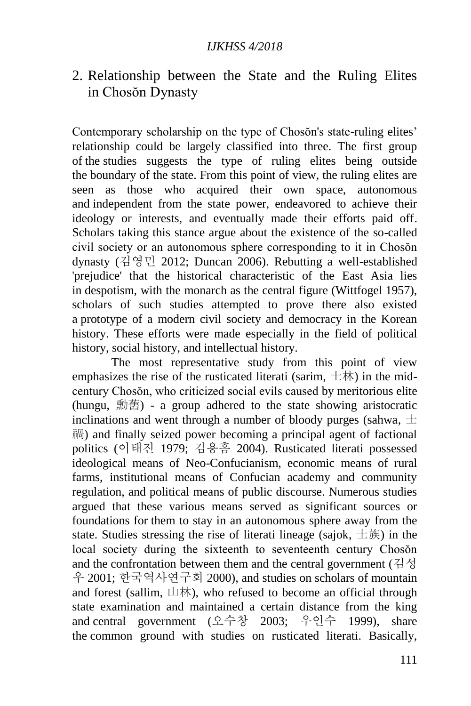### 2. Relationship between the State and the Ruling Elites in Chosŏn Dynasty

Contemporary scholarship on the type of Chosŏn's state-ruling elites' relationship could be largely classified into three. The first group of the studies suggests the type of ruling elites being outside the boundary of the state. From this point of view, the ruling elites are seen as those who acquired their own space, autonomous and independent from the state power, endeavored to achieve their ideology or interests, and eventually made their efforts paid off. Scholars taking this stance argue about the existence of the so-called civil society or an autonomous sphere corresponding to it in Chosŏn dynasty (김영민 2012; Duncan 2006). Rebutting a well-established 'prejudice' that the historical characteristic of the East Asia lies in despotism, with the monarch as the central figure (Wittfogel 1957), scholars of such studies attempted to prove there also existed a prototype of a modern civil society and democracy in the Korean history. These efforts were made especially in the field of political history, social history, and intellectual history.

The most representative study from this point of view emphasizes the rise of the rusticated literati (sarim,  $\pm \pi$ ) in the midcentury Chosŏn, who criticized social evils caused by meritorious elite (hungu, 勳舊) - a group adhered to the state showing aristocratic inclinations and went through a number of bloody purges (sahwa,  $\pm$ 禍) and finally seized power becoming a principal agent of factional politics (이태진 1979; 김용흠 2004). Rusticated literati possessed ideological means of Neo-Confucianism, economic means of rural farms, institutional means of Confucian academy and community regulation, and political means of public discourse. Numerous studies argued that these various means served as significant sources or foundations for them to stay in an autonomous sphere away from the state. Studies stressing the rise of literati lineage (sajok,  $\pm \frac{1}{2}$ ) in the local society during the sixteenth to seventeenth century Chosŏn and the confrontation between them and the central government (김성 우 2001; 한국역사연구회 2000), and studies on scholars of mountain and forest (sallim, 山林), who refused to become an official through state examination and maintained a certain distance from the king and central government (오수창 2003; 우인수 1999), share the common ground with studies on rusticated literati. Basically,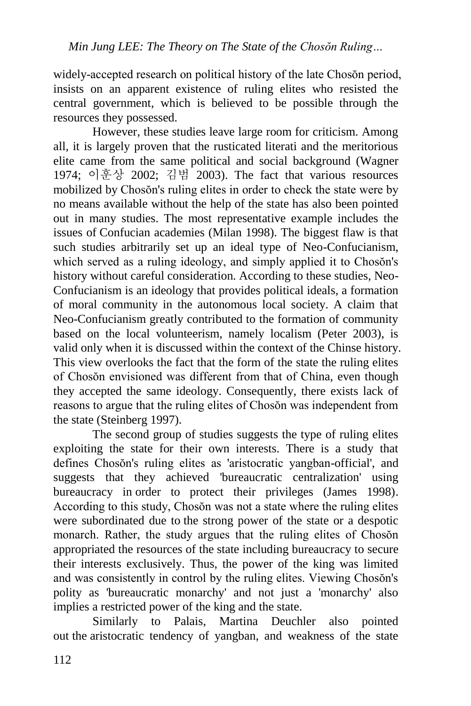widely-accepted research on political history of the late Chosŏn period, insists on an apparent existence of ruling elites who resisted the central government, which is believed to be possible through the resources they possessed.

However, these studies leave large room for criticism. Among all, it is largely proven that the rusticated literati and the meritorious elite came from the same political and social background (Wagner 1974; 이훈상 2002; 김범 2003). The fact that various resources mobilized by Chosŏn's ruling elites in order to check the state were by no means available without the help of the state has also been pointed out in many studies. The most representative example includes the issues of Confucian academies (Milan 1998). The biggest flaw is that such studies arbitrarily set up an ideal type of Neo-Confucianism, which served as a ruling ideology, and simply applied it to Chosŏn's history without careful consideration. According to these studies, Neo-Confucianism is an ideology that provides political ideals, a formation of moral community in the autonomous local society. A claim that Neo-Confucianism greatly contributed to the formation of community based on the local volunteerism, namely localism (Peter 2003), is valid only when it is discussed within the context of the Chinse history. This view overlooks the fact that the form of the state the ruling elites of Chosŏn envisioned was different from that of China, even though they accepted the same ideology. Consequently, there exists lack of reasons to argue that the ruling elites of Chosŏn was independent from the state (Steinberg 1997).

The second group of studies suggests the type of ruling elites exploiting the state for their own interests. There is a study that defines Chosŏn's ruling elites as 'aristocratic yangban-official', and suggests that they achieved 'bureaucratic centralization' using bureaucracy in order to protect their privileges (James 1998). According to this study, Chosŏn was not a state where the ruling elites were subordinated due to the strong power of the state or a despotic monarch. Rather, the study argues that the ruling elites of Chosŏn appropriated the resources of the state including bureaucracy to secure their interests exclusively. Thus, the power of the king was limited and was consistently in control by the ruling elites. Viewing Chosŏn's polity as 'bureaucratic monarchy' and not just a 'monarchy' also implies a restricted power of the king and the state.

Similarly to Palais, Martina Deuchler also pointed out the aristocratic tendency of yangban, and weakness of the state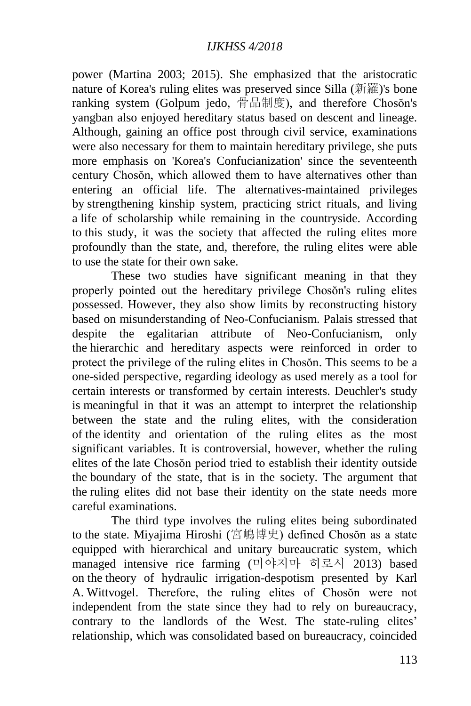power (Martina 2003; 2015). She emphasized that the aristocratic nature of Korea's ruling elites was preserved since Silla (新羅)'s bone ranking system (Golpum jedo, 骨品制度), and therefore Chosŏn's yangban also enjoyed hereditary status based on descent and lineage. Although, gaining an office post through civil service, examinations were also necessary for them to maintain hereditary privilege, she puts more emphasis on 'Korea's Confucianization' since the seventeenth century Chosŏn, which allowed them to have alternatives other than entering an official life. The alternatives-maintained privileges by strengthening kinship system, practicing strict rituals, and living a life of scholarship while remaining in the countryside. According to this study, it was the society that affected the ruling elites more profoundly than the state, and, therefore, the ruling elites were able to use the state for their own sake.

These two studies have significant meaning in that they properly pointed out the hereditary privilege Chosŏn's ruling elites possessed. However, they also show limits by reconstructing history based on misunderstanding of Neo-Confucianism. Palais stressed that despite the egalitarian attribute of Neo-Confucianism, only the hierarchic and hereditary aspects were reinforced in order to protect the privilege of the ruling elites in Chosŏn. This seems to be a one-sided perspective, regarding ideology as used merely as a tool for certain interests or transformed by certain interests. Deuchler's study is meaningful in that it was an attempt to interpret the relationship between the state and the ruling elites, with the consideration of the identity and orientation of the ruling elites as the most significant variables. It is controversial, however, whether the ruling elites of the late Chosŏn period tried to establish their identity outside the boundary of the state, that is in the society. The argument that the ruling elites did not base their identity on the state needs more careful examinations.

The third type involves the ruling elites being subordinated to the state. Miyajima Hiroshi (宮嶋博史) defined Chosŏn as a state equipped with hierarchical and unitary bureaucratic system, which managed intensive rice farming (미야지마 히로시 2013) based on the theory of hydraulic irrigation-despotism presented by Karl A. Wittvogel. Therefore, the ruling elites of Chosŏn were not independent from the state since they had to rely on bureaucracy, contrary to the landlords of the West. The state-ruling elites' relationship, which was consolidated based on bureaucracy, coincided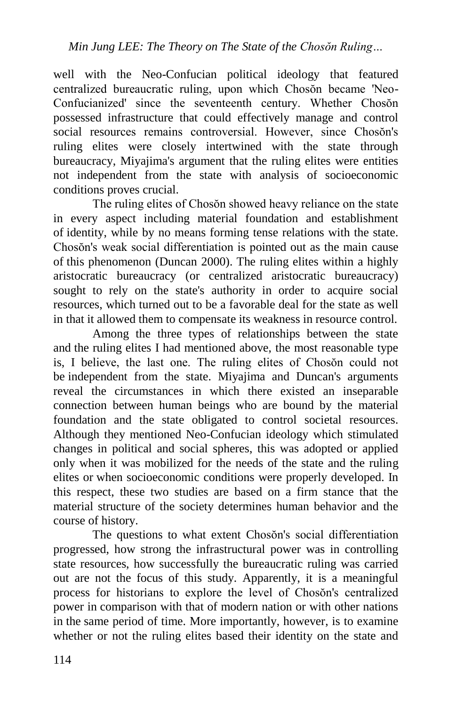well with the Neo-Confucian political ideology that featured centralized bureaucratic ruling, upon which Chosŏn became 'Neo-Confucianized' since the seventeenth century. Whether Chosŏn possessed infrastructure that could effectively manage and control social resources remains controversial. However, since Chosŏn's ruling elites were closely intertwined with the state through bureaucracy, Miyajima's argument that the ruling elites were entities not independent from the state with analysis of socioeconomic conditions proves crucial.

The ruling elites of Chosŏn showed heavy reliance on the state in every aspect including material foundation and establishment of identity, while by no means forming tense relations with the state. Chosŏn's weak social differentiation is pointed out as the main cause of this phenomenon (Duncan 2000). The ruling elites within a highly aristocratic bureaucracy (or centralized aristocratic bureaucracy) sought to rely on the state's authority in order to acquire social resources, which turned out to be a favorable deal for the state as well in that it allowed them to compensate its weakness in resource control.

Among the three types of relationships between the state and the ruling elites I had mentioned above, the most reasonable type is, I believe, the last one. The ruling elites of Chosŏn could not be independent from the state. Miyajima and Duncan's arguments reveal the circumstances in which there existed an inseparable connection between human beings who are bound by the material foundation and the state obligated to control societal resources. Although they mentioned Neo-Confucian ideology which stimulated changes in political and social spheres, this was adopted or applied only when it was mobilized for the needs of the state and the ruling elites or when socioeconomic conditions were properly developed. In this respect, these two studies are based on a firm stance that the material structure of the society determines human behavior and the course of history.

The questions to what extent Chosŏn's social differentiation progressed, how strong the infrastructural power was in controlling state resources, how successfully the bureaucratic ruling was carried out are not the focus of this study. Apparently, it is a meaningful process for historians to explore the level of Chosŏn's centralized power in comparison with that of modern nation or with other nations in the same period of time. More importantly, however, is to examine whether or not the ruling elites based their identity on the state and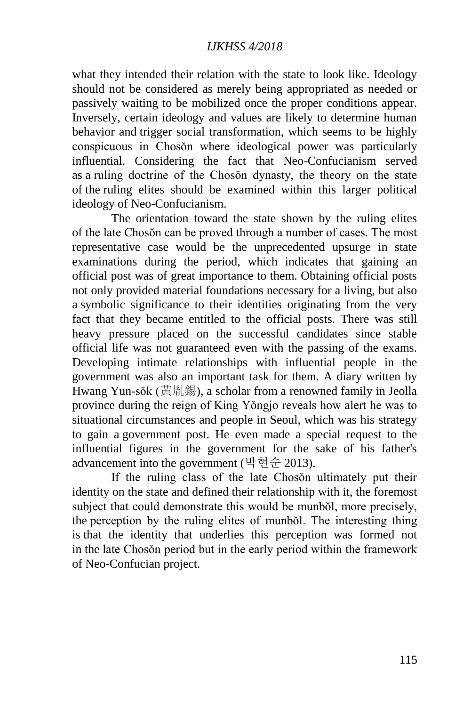what they intended their relation with the state to look like. Ideology should not be considered as merely being appropriated as needed or passively waiting to be mobilized once the proper conditions appear. Inversely, certain ideology and values are likely to determine human behavior and trigger social transformation, which seems to be highly conspicuous in Chosŏn where ideological power was particularly influential. Considering the fact that Neo-Confucianism served as a ruling doctrine of the Chosŏn dynasty, the theory on the state of the ruling elites should be examined within this larger political ideology of Neo-Confucianism.

The orientation toward the state shown by the ruling elites of the late Chosŏn can be proved through a number of cases. The most representative case would be the unprecedented upsurge in state examinations during the period, which indicates that gaining an official post was of great importance to them. Obtaining official posts not only provided material foundations necessary for a living, but also a symbolic significance to their identities originating from the very fact that they became entitled to the official posts. There was still heavy pressure placed on the successful candidates since stable official life was not guaranteed even with the passing of the exams. Developing intimate relationships with influential people in the government was also an important task for them. A diary written by Hwang Yun-sŏk (黃胤錫), a scholar from a renowned family in Jeolla province during the reign of King Yŏngjo reveals how alert he was to situational circumstances and people in Seoul, which was his strategy to gain a government post. He even made a special request to the influential figures in the government for the sake of his father's advancement into the government (박현순 2013).

If the ruling class of the late Chosŏn ultimately put their identity on the state and defined their relationship with it, the foremost subject that could demonstrate this would be munbŏl, more precisely, the perception by the ruling elites of munbŏl. The interesting thing is that the identity that underlies this perception was formed not in the late Chosŏn period but in the early period within the framework of Neo-Confucian project.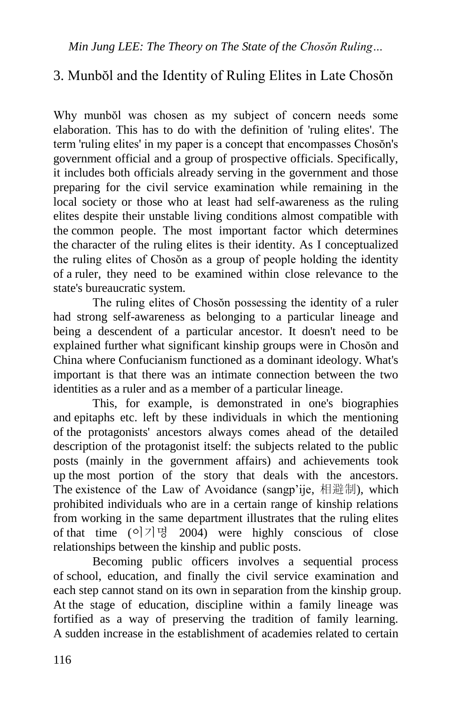## 3. Munbŏl and the Identity of Ruling Elites in Late Chosŏn

Why munbŏl was chosen as my subject of concern needs some elaboration. This has to do with the definition of 'ruling elites'. The term 'ruling elites' in my paper is a concept that encompasses Chosŏn's government official and a group of prospective officials. Specifically, it includes both officials already serving in the government and those preparing for the civil service examination while remaining in the local society or those who at least had self-awareness as the ruling elites despite their unstable living conditions almost compatible with the common people. The most important factor which determines the character of the ruling elites is their identity. As I conceptualized the ruling elites of Chosŏn as a group of people holding the identity of a ruler, they need to be examined within close relevance to the state's bureaucratic system.

The ruling elites of Chosŏn possessing the identity of a ruler had strong self-awareness as belonging to a particular lineage and being a descendent of a particular ancestor. It doesn't need to be explained further what significant kinship groups were in Chosŏn and China where Confucianism functioned as a dominant ideology. What's important is that there was an intimate connection between the two identities as a ruler and as a member of a particular lineage.

This, for example, is demonstrated in one's biographies and epitaphs etc. left by these individuals in which the mentioning of the protagonists' ancestors always comes ahead of the detailed description of the protagonist itself: the subjects related to the public posts (mainly in the government affairs) and achievements took up the most portion of the story that deals with the ancestors. The existence of the Law of Avoidance (sangp'ije, 相避制), which prohibited individuals who are in a certain range of kinship relations from working in the same department illustrates that the ruling elites of that time  $(°)$ 기명 2004) were highly conscious of close relationships between the kinship and public posts.

Becoming public officers involves a sequential process of school, education, and finally the civil service examination and each step cannot stand on its own in separation from the kinship group. At the stage of education, discipline within a family lineage was fortified as a way of preserving the tradition of family learning. A sudden increase in the establishment of academies related to certain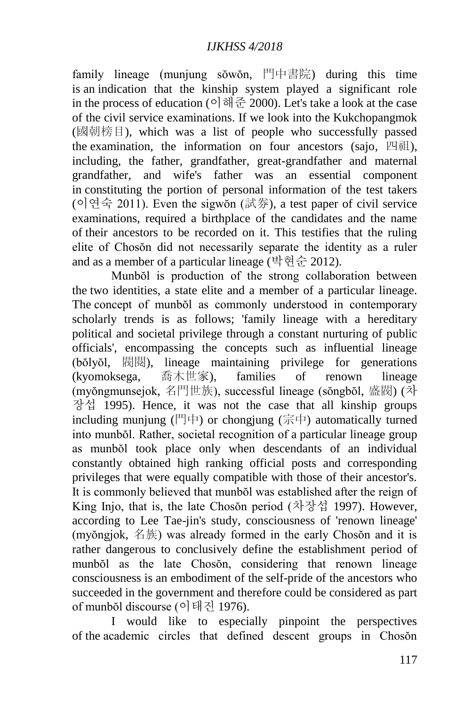family lineage (munjung sŏwŏn, 門中書院) during this time is an indication that the kinship system played a significant role in the process of education (이해준 2000). Let's take a look at the case of the civil service examinations. If we look into the Kukchopangmok (國朝榜目), which was a list of people who successfully passed the examination, the information on four ancestors (sajo, 四祖), including, the father, grandfather, great-grandfather and maternal grandfather, and wife's father was an essential component in constituting the portion of personal information of the test takers (이연숙 2011). Even the sigwŏn (試券), a test paper of civil service examinations, required a birthplace of the candidates and the name of their ancestors to be recorded on it. This testifies that the ruling elite of Chosŏn did not necessarily separate the identity as a ruler and as a member of a particular lineage (박현순 2012).

Munbŏl is production of the strong collaboration between the two identities, a state elite and a member of a particular lineage. The concept of munbŏl as commonly understood in contemporary scholarly trends is as follows: 'family lineage with a hereditary political and societal privilege through a constant nurturing of public officials', encompassing the concepts such as influential lineage (bŏlyŏl, 閥閱), lineage maintaining privilege for generations (kyomoksega, 喬木世家), families of renown lineage (myŏngmunsejok, 名門世族), successful lineage (sŏngbŏl, 盛閥) (차 장섭 1995). Hence, it was not the case that all kinship groups including munjung (門中) or chongjung (宗中) automatically turned into munbŏl. Rather, societal recognition of a particular lineage group as munbŏl took place only when descendants of an individual constantly obtained high ranking official posts and corresponding privileges that were equally compatible with those of their ancestor's. It is commonly believed that munbŏl was established after the reign of King Injo, that is, the late Chosŏn period (차장섭 1997). However, according to Lee Tae-jin's study, consciousness of 'renown lineage' (myŏngjok, 名族) was already formed in the early Chosŏn and it is rather dangerous to conclusively define the establishment period of munbŏl as the late Chosŏn, considering that renown lineage consciousness is an embodiment of the self-pride of the ancestors who succeeded in the government and therefore could be considered as part of munbŏl discourse (이태진 1976).

I would like to especially pinpoint the perspectives of the academic circles that defined descent groups in Chosŏn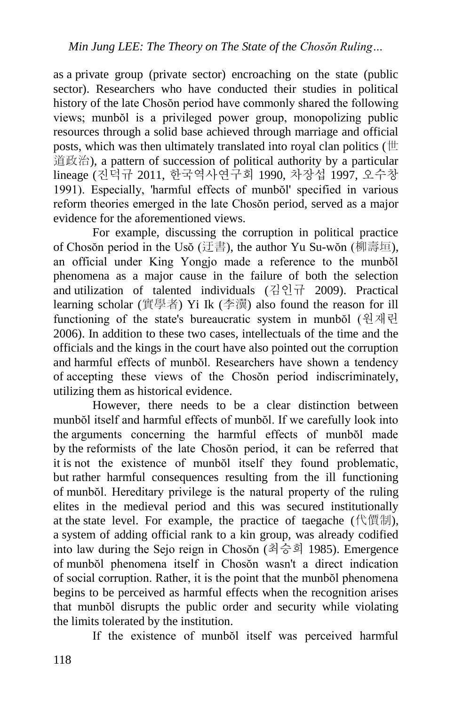as a private group (private sector) encroaching on the state (public sector). Researchers who have conducted their studies in political history of the late Chosŏn period have commonly shared the following views; munbŏl is a privileged power group, monopolizing public resources through a solid base achieved through marriage and official posts, which was then ultimately translated into royal clan politics ( $\mathbb H$ ) 道政治), a pattern of succession of political authority by a particular lineage (진덕규 2011, 한국역사연구회 1990, 차장섭 1997, 오수창 1991). Especially, 'harmful effects of munbŏl' specified in various reform theories emerged in the late Chosŏn period, served as a major evidence for the aforementioned views.

For example, discussing the corruption in political practice of Chosŏn period in the Usŏ (迂書), the author Yu Su-wŏn (柳壽垣), an official under King Yongjo made a reference to the munbŏl phenomena as a major cause in the failure of both the selection and utilization of talented individuals (김인규 2009). Practical learning scholar (實學者) Yi Ik (李瀷) also found the reason for ill functioning of the state's bureaucratic system in munbŏl (원재린 2006). In addition to these two cases, intellectuals of the time and the officials and the kings in the court have also pointed out the corruption and harmful effects of munbŏl. Researchers have shown a tendency of accepting these views of the Chosŏn period indiscriminately, utilizing them as historical evidence.

However, there needs to be a clear distinction between munbŏl itself and harmful effects of munbŏl. If we carefully look into the arguments concerning the harmful effects of munbŏl made by the reformists of the late Chosŏn period, it can be referred that it is not the existence of munbŏl itself they found problematic, but rather harmful consequences resulting from the ill functioning of munbŏl. Hereditary privilege is the natural property of the ruling elites in the medieval period and this was secured institutionally at the state level. For example, the practice of taegache (代價制), a system of adding official rank to a kin group, was already codified into law during the Sejo reign in Chosŏn (최승희 1985). Emergence of munbŏl phenomena itself in Chosŏn wasn't a direct indication of social corruption. Rather, it is the point that the munbŏl phenomena begins to be perceived as harmful effects when the recognition arises that munbŏl disrupts the public order and security while violating the limits tolerated by the institution.

If the existence of munbŏl itself was perceived harmful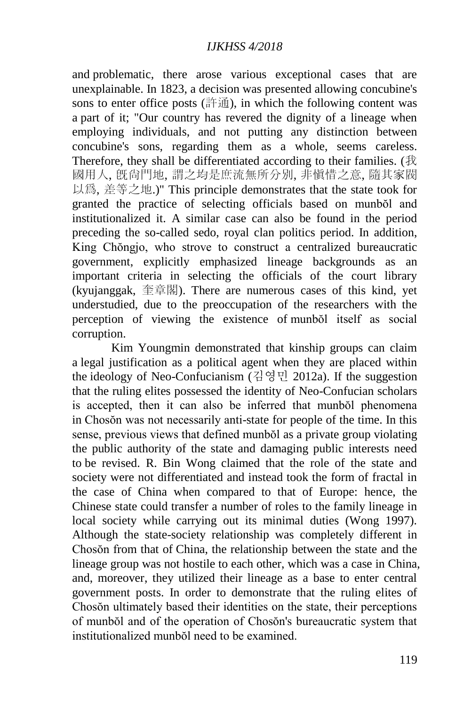and problematic, there arose various exceptional cases that are unexplainable. In 1823, a decision was presented allowing concubine's sons to enter office posts (許通), in which the following content was a part of it; "Our country has revered the dignity of a lineage when employing individuals, and not putting any distinction between concubine's sons, regarding them as a whole, seems careless. Therefore, they shall be differentiated according to their families. (我 國用人, 旣尙門地, 謂之均是庶流無所分別, 非愼惜之意, 隨其家閥 以爲, 差等之地.)" This principle demonstrates that the state took for granted the practice of selecting officials based on munbŏl and institutionalized it. A similar case can also be found in the period preceding the so-called sedo, royal clan politics period. In addition, King Chŏngjo, who strove to construct a centralized bureaucratic government, explicitly emphasized lineage backgrounds as an important criteria in selecting the officials of the court library (kyujanggak, 奎章閣). There are numerous cases of this kind, yet understudied, due to the preoccupation of the researchers with the perception of viewing the existence of munbŏl itself as social corruption.

Kim Youngmin demonstrated that kinship groups can claim a legal justification as a political agent when they are placed within the ideology of Neo-Confucianism (김영민 2012a). If the suggestion that the ruling elites possessed the identity of Neo-Confucian scholars is accepted, then it can also be inferred that munbol phenomena in Chosŏn was not necessarily anti-state for people of the time. In this sense, previous views that defined munbŏl as a private group violating the public authority of the state and damaging public interests need to be revised. R. Bin Wong claimed that the role of the state and society were not differentiated and instead took the form of fractal in the case of China when compared to that of Europe: hence, the Chinese state could transfer a number of roles to the family lineage in local society while carrying out its minimal duties (Wong 1997). Although the state-society relationship was completely different in Chosŏn from that of China, the relationship between the state and the lineage group was not hostile to each other, which was a case in China, and, moreover, they utilized their lineage as a base to enter central government posts. In order to demonstrate that the ruling elites of Chosŏn ultimately based their identities on the state, their perceptions of munbŏl and of the operation of Chosŏn's bureaucratic system that institutionalized munbŏl need to be examined.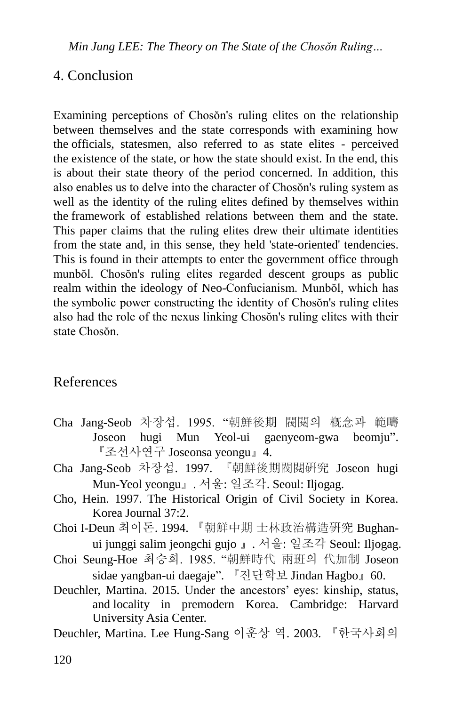*Min Jung LEE: The Theory on The State of the Chosŏn Ruling…*

### 4. Conclusion

Examining perceptions of Chosŏn's ruling elites on the relationship between themselves and the state corresponds with examining how the officials, statesmen, also referred to as state elites - perceived the existence of the state, or how the state should exist. In the end, this is about their state theory of the period concerned. In addition, this also enables us to delve into the character of Chosŏn's ruling system as well as the identity of the ruling elites defined by themselves within the framework of established relations between them and the state. This paper claims that the ruling elites drew their ultimate identities from the state and, in this sense, they held 'state-oriented' tendencies. This is found in their attempts to enter the government office through munbŏl. Chosŏn's ruling elites regarded descent groups as public realm within the ideology of Neo-Confucianism. Munbŏl, which has the symbolic power constructing the identity of Chosŏn's ruling elites also had the role of the nexus linking Chosŏn's ruling elites with their state Chosŏn.

### References

- Cha Jang-Seob 차장섭. 1995. "朝鮮後期 閥閱의 槪念과 範疇 Joseon hugi Mun Yeol-ui gaenyeom-gwa beomju". 『조선사연구 Joseonsa yeongu』4.
- Cha Jang-Seob 차장섭. 1997. 『朝鮮後期閥閱硏究 Joseon hugi Mun-Yeol yeongu』. 서울: 일조각. Seoul: Iljogag.
- Cho, Hein. 1997. The Historical Origin of Civil Society in Korea. Korea Journal 37:2.
- Choi I-Deun 최이돈. 1994. 『朝鮮中期 士林政治構造硏究 Bughanui junggi salim jeongchi gujo 』. 서울: 일조각 Seoul: Iljogag.
- Choi Seung-Hoe 최승희. 1985. "朝鮮時代 兩班의 代加制 Joseon sidae yangban-ui daegaje". 『진단학보 Jindan Hagbo』60.
- Deuchler, Martina. 2015. Under the ancestors' eyes: kinship, status, and locality in premodern Korea. Cambridge: Harvard University Asia Center.

Deuchler, Martina. Lee Hung-Sang 이훈상 역. 2003. 『한국사회의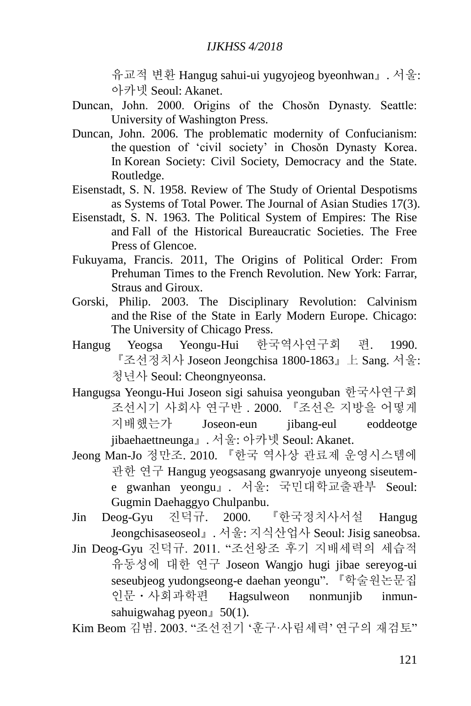유교적 변환 Hangug sahui-ui yugyojeog byeonhwan』. 서울: 아카넷 Seoul: Akanet.

- Duncan, John. 2000. Origins of the Chosŏn Dynasty. Seattle: University of Washington Press.
- Duncan, John. 2006. The problematic modernity of Confucianism: the question of 'civil society' in Choson Dynasty Korea. In Korean Society: Civil Society, Democracy and the State. Routledge.
- Eisenstadt, S. N. 1958. Review of The Study of Oriental Despotisms as Systems of Total Power. The Journal of Asian Studies 17(3).
- Eisenstadt, S. N. 1963. The Political System of Empires: The Rise and Fall of the Historical Bureaucratic Societies. The Free Press of Glencoe.
- Fukuyama, Francis. 2011, The Origins of Political Order: From Prehuman Times to the French Revolution. New York: Farrar, Straus and Giroux.
- Gorski, Philip. 2003. The Disciplinary Revolution: Calvinism and the Rise of the State in Early Modern Europe. Chicago: The University of Chicago Press.
- Hangug Yeogsa Yeongu-Hui 한국역사연구회 편. 1990. 『조선정치사 Joseon Jeongchisa 1800-1863』上 Sang. 서울: 청년사 Seoul: Cheongnyeonsa.
- Hangugsa Yeongu-Hui Joseon sigi sahuisa yeonguban 한국사연구회 조선시기 사회사 연구반 . 2000. 『조선은 지방을 어떻게 지배했는가 Joseon-eun jibang-eul eoddeotge jibaehaettneunga』. 서울: 아카넷 Seoul: Akanet.
- Jeong Man-Jo 정만조. 2010. 『한국 역사상 관료제 운영시스템에 관한 연구 Hangug yeogsasang gwanryoje unyeong siseuteme gwanhan yeongu』. 서울: 국민대학교출판부 Seoul: Gugmin Daehaggyo Chulpanbu.
- Jin Deog-Gyu 진덕규. 2000. 『한국정치사서설 Hangug Jeongchisaseoseol』. 서울: 지식산업사 Seoul: Jisig saneobsa.
- Jin Deog-Gyu 진덕규. 2011. "조선왕조 후기 지배세력의 세습적 유동성에 대한 연구 Joseon Wangjo hugi jibae sereyog-ui seseubjeog yudongseong-e daehan yeongu". 『학술원논문집 인문ㆍ사회과학편 Hagsulweon nonmunjib inmunsahuigwahag pyeon』50(1).
- Kim Beom 김범. 2003. "조선전기 '훈구·사림세력' 연구의 재검토"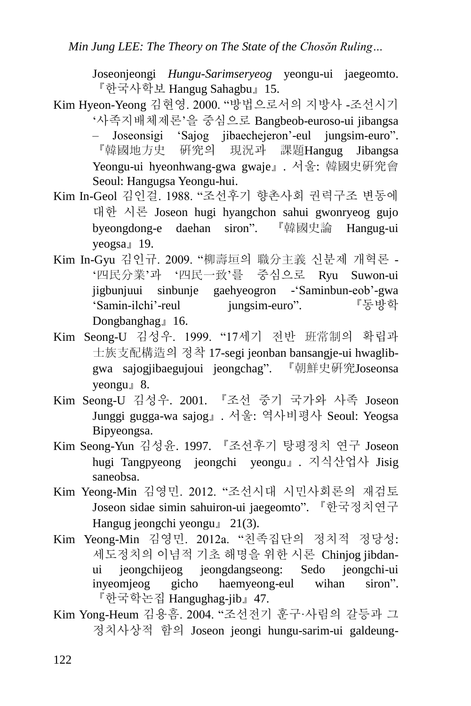Joseonjeongi *Hungu-Sarimseryeog* yeongu-ui jaegeomto. 『한국사학보 Hangug Sahagbu』15.

- Kim Hyeon-Yeong 김현영. 2000. "방법으로서의 지방사 -조선시기 '사족지배체제론'을 중심으로 Bangbeob-euroso-ui jibangsa – Joseonsigi 'Sajog jibaechejeron'-eul jungsim-euro". 『韓國地方史 硏究의 現況과 課題Hangug Jibangsa Yeongu-ui hyeonhwang-gwa gwaje』. 서울: 韓國史硏究會 Seoul: Hangugsa Yeongu-hui.
- Kim In-Geol 김인걸. 1988. "조선후기 향촌사회 권력구조 변동에 대한 시론 Joseon hugi hyangchon sahui gwonryeog gujo byeongdong-e daehan siron". 『韓國史論 Hangug-ui yeogsa』19.
- Kim In-Gyu 김인규. 2009. "柳壽垣의 職分主義 신분제 개혁론 '四民分業'과 '四民一致'를 중심으로 Ryu Suwon-ui jigbunjuui sinbunje gaehyeogron -'Saminbun-eob'-gwa 'Samin-ilchi'-reul jungsim-euro". 『동방학 Dongbanghag』16.
- Kim Seong-U 김성우. 1999. "17세기 전반 班常制의 확립과 士族支配構造의 정착 17-segi jeonban bansangje-ui hwaglibgwa sajogjibaegujoui jeongchag". 『朝鮮史硏究Joseonsa yeongu』8.
- Kim Seong-U 김성우. 2001. 『조선 중기 국가와 사족 Joseon Junggi gugga-wa sajog』. 서울: 역사비평사 Seoul: Yeogsa Bipyeongsa.
- Kim Seong-Yun 김성윤. 1997. 『조선후기 탕평정치 연구 Joseon hugi Tangpyeong jeongchi yeongu』. 지식산업사 Jisig saneobsa.
- Kim Yeong-Min 김영민. 2012. "조선시대 시민사회론의 재검토 Joseon sidae simin sahuiron-ui jaegeomto". 『한국정치연구 Hangug jeongchi yeongu』 21(3).
- Kim Yeong-Min 김영민. 2012a. "친족집단의 정치적 정당성: 세도정치의 이념적 기초 해명을 위한 시론 Chinjog jibdanui jeongchijeog jeongdangseong: Sedo jeongchi-ui inyeomjeog gicho haemyeong-eul wihan siron". 『한국학논집 Hangughag-jib』47.
- Kim Yong-Heum 김용흠. 2004. "조선전기 훈구·사림의 갈등과 그 정치사상적 함의 Joseon jeongi hungu-sarim-ui galdeung-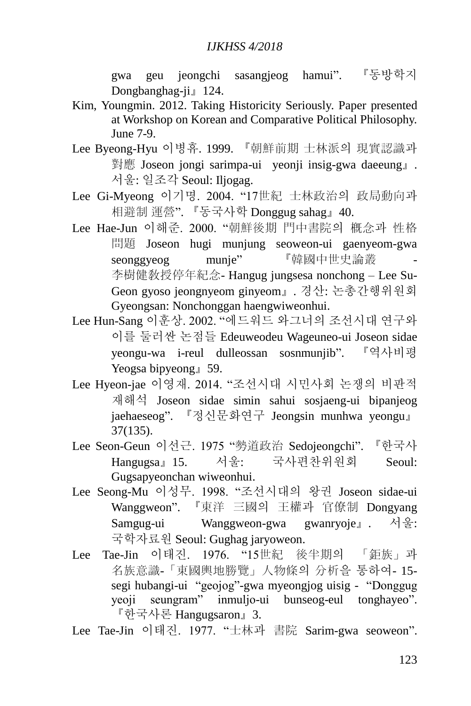gwa geu jeongchi sasangjeog hamui". 『동방학지 Dongbanghag-ji』124.

- Kim, Youngmin. 2012. Taking Historicity Seriously. Paper presented at Workshop on Korean and Comparative Political Philosophy. June 7-9.
- Lee Byeong-Hyu 이병휴. 1999. 『朝鮮前期 士林派의 現實認識과 對應 Joseon jongi sarimpa-ui yeonji insig-gwa daeeung』. 서울: 일조각 Seoul: Iljogag.
- Lee Gi-Myeong 이기명. 2004. "17世紀 士林政治의 政局動向과 相避制 運營". 『동국사학 Donggug sahag』40.
- Lee Hae-Jun 이해준. 2000. "朝鮮後期 門中書院의 槪念과 性格 問題 Joseon hugi munjung seoweon-ui gaenyeom-gwa seonggyeog munje" 『韓國中世史論叢 李樹健敎授停年紀念- Hangug jungsesa nonchong – Lee Su-Geon gyoso jeongnyeom ginyeom』. 경산: 논총간행위원회 Gyeongsan: Nonchonggan haengwiweonhui.
- Lee Hun-Sang 이훈상. 2002. "에드워드 와그너의 조선시대 연구와 이를 둘러싼 논점들 Edeuweodeu Wageuneo-ui Joseon sidae yeongu-wa i-reul dulleossan sosnmunjib". 『역사비평 Yeogsa bipyeong』59.
- Lee Hyeon-jae 이영재. 2014. "조선시대 시민사회 논쟁의 비판적 재해석 Joseon sidae simin sahui sosjaeng-ui bipanjeog jaehaeseog". 『정신문화연구 Jeongsin munhwa yeongu』 37(135).
- Lee Seon-Geun 이선근. 1975 "勢道政治 Sedojeongchi". 『한국사 Hangugsa』15. 서울: 국사편찬위원회 Seoul: Gugsapyeonchan wiweonhui.
- Lee Seong-Mu 이성무. 1998. "조선시대의 왕권 Joseon sidae-ui Wanggweon". 『東洋 三國의 王權과 官僚制 Dongyang Samgug-ui Wanggweon-gwa gwanryoje』. 서울: 국학자료원 Seoul: Gughag jaryoweon.
- Lee Tae-Jin 이태진. 1976. "15世紀 後半期의 「鉅族」과 名族意識-「東國輿地勝覽」人物條의 分析을 통하여- 15 segi hubangi-ui "geojog"-gwa myeongjog uisig - "Donggug yeoji seungram" inmuljo-ui bunseog-eul tonghayeo". 『한국사론 Hangugsaron』3.

Lee Tae-Jin 이태진. 1977. "士林과 書院 Sarim-gwa seoweon".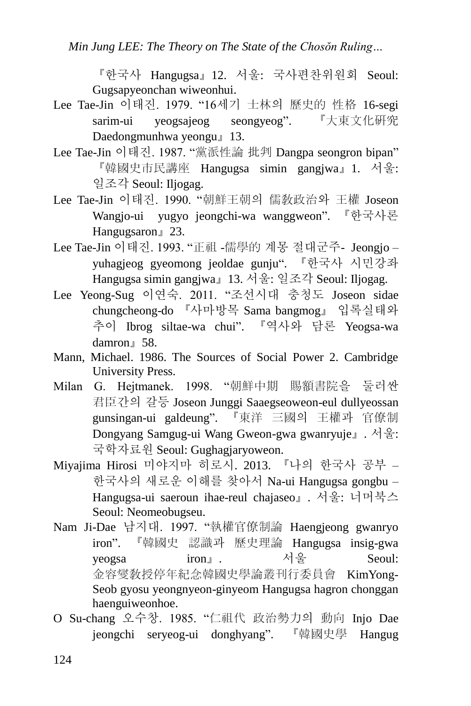*Min Jung LEE: The Theory on The State of the Chosŏn Ruling…*

『한국사 Hangugsa』12. 서울: 국사편찬위원회 Seoul: Gugsapyeonchan wiweonhui.

- Lee Tae-Jin 이태진. 1979. "16세기 士林의 歷史的 性格 16-segi sarim-ui yeogsajeog seongyeog". 『大東文化硏究 Daedongmunhwa yeongu』13.
- Lee Tae-Jin 이태진. 1987. "黨派性論 批判 Dangpa seongron bipan" 『韓國史市民講座 Hangugsa simin gangjwa』1. 서울: 일조각 Seoul: Iljogag.
- Lee Tae-Jin 이태진. 1990. "朝鮮王朝의 儒敎政治와 王權 Joseon Wangjo-ui yugyo jeongchi-wa wanggweon". 『한국사론 Hangugsaron』23.
- Lee Tae-Jin 이태진. 1993. "正祖 -儒學的 계몽 절대군주- Jeongjo yuhagjeog gyeomong jeoldae gunju". 『한국사 시민강좌 Hangugsa simin gangjwa』13. 서울: 일조각 Seoul: Iljogag.
- Lee Yeong-Sug 이연숙. 2011. "조선시대 충청도 Joseon sidae chungcheong-do 『사마방목 Sama bangmog』 입록실태와 추이 Ibrog siltae-wa chui". 『역사와 담론 Yeogsa-wa damron』58.
- Mann, Michael. 1986. The Sources of Social Power 2. Cambridge University Press.
- Milan G. Hejtmanek. 1998. "朝鮮中期 賜額書院을 둘러싼 君臣간의 갈등 Joseon Junggi Saaegseoweon-eul dullyeossan gunsingan-ui galdeung". 『東洋 三國의 王權과 官僚制 Dongyang Samgug-ui Wang Gweon-gwa gwanryuje』. 서울: 국학자료원 Seoul: Gughagjaryoweon.
- Miyajima Hirosi 미야지마 히로시. 2013. 『나의 한국사 공부 한국사의 새로운 이해를 찾아서 Na-ui Hangugsa gongbu – Hangugsa-ui saeroun ihae-reul chajaseo』. 서울: 너머북스 Seoul: Neomeobugseu.
- Nam Ji-Dae 남지대. 1997. "執權官僚制論 Haengjeong gwanryo iron". 『韓國史 認識과 歷史理論 Hangugsa insig-gwa yeogsa iron』. 서울 Seoul: 金容燮敎授停年紀念韓國史學論叢刊行委員會 KimYong-Seob gyosu yeongnyeon-ginyeom Hangugsa hagron chonggan haenguiweonhoe.
- O Su-chang 오수창. 1985. "仁祖代 政治勢力의 動向 Injo Dae jeongchi seryeog-ui donghyang". 『韓國史學 Hangug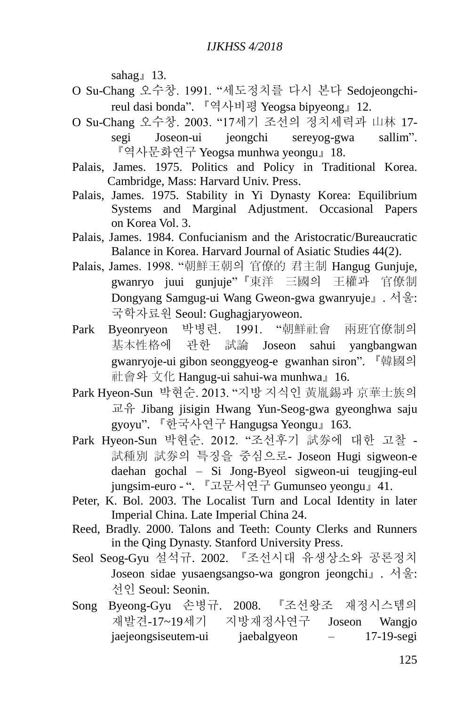sahag』13.

- O Su-Chang 오수창. 1991. "세도정치를 다시 본다 Sedojeongchireul dasi bonda". 『역사비평 Yeogsa bipyeong』12.
- O Su-Chang 오수창. 2003. "17세기 조선의 정치세력과 山林 17 segi Joseon-ui jeongchi sereyog-gwa sallim". 『역사문화연구 Yeogsa munhwa yeongu』18.
- Palais, James. 1975. Politics and Policy in Traditional Korea. Cambridge, Mass: Harvard Univ. Press.
- Palais, James. 1975. Stability in Yi Dynasty Korea: Equilibrium Systems and Marginal Adjustment. Occasional Papers on Korea Vol. 3.
- Palais, James. 1984. Confucianism and the Aristocratic/Bureaucratic Balance in Korea. Harvard Journal of Asiatic Studies 44(2).
- Palais, James. 1998. "朝鮮王朝의 官僚的 君主制 Hangug Gunjuje, gwanryo juui gunjuje"『東洋 三國의 王權과 官僚制 Dongyang Samgug-ui Wang Gweon-gwa gwanryuje』. 서울: 국학자료원 Seoul: Gughagjaryoweon.
- Park Byeonryeon 박병련. 1991. "朝鮮社會 兩班官僚制의 基本性格에 관한 試論 Joseon sahui yangbangwan gwanryoje-ui gibon seonggyeog-e gwanhan siron". 『韓國의 社會와 文化 Hangug-ui sahui-wa munhwa』16.
- Park Hyeon-Sun 박현순. 2013. "지방 지식인 黃胤錫과 京華士族의  $\mathbb{R}$   $\oplus$  Jibang jisigin Hwang Yun-Seog-gwa gyeonghwa saju gyoyu". 『한국사연구 Hangugsa Yeongu』163.
- Park Hyeon-Sun 박현순. 2012. "조선후기 試券에 대한 고찰 試種別 試券의 특징을 중심으로- Joseon Hugi sigweon-e daehan gochal – Si Jong-Byeol sigweon-ui teugjing-eul jungsim-euro - ". 『고문서연구 Gumunseo yeongu』41.
- Peter, K. Bol. 2003. The Localist Turn and Local Identity in later Imperial China. Late Imperial China 24.
- Reed, Bradly. 2000. Talons and Teeth: County Clerks and Runners in the Qing Dynasty. Stanford University Press.
- Seol Seog-Gyu 설석규. 2002. 『조선시대 유생상소와 공론정치 Joseon sidae yusaengsangso-wa gongron jeongchi』. 서울: 선인 Seoul: Seonin.
- Song Byeong-Gyu 손병규. 2008. 『조선왕조 재정시스템의 재발견-17~19세기 지방재정사연구 Joseon Wangjo jaejeongsiseutem-ui jaebalgyeon – 17-19-segi